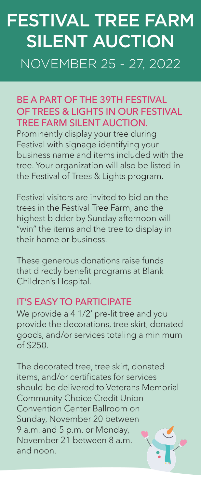# FESTIVAL TREE FARM SILENT AUCTION NOVEMBER 25 - 27, 2022

#### BE A PART OF THE 39TH FESTIVAL OF TREES & LIGHTS IN OUR FESTIVAL TREE FARM SILENT AUCTION.

Prominently display your tree during Festival with signage identifying your business name and items included with the tree. Your organization will also be listed in the Festival of Trees & Lights program.

Festival visitors are invited to bid on the trees in the Festival Tree Farm, and the highest bidder by Sunday afternoon will "win" the items and the tree to display in their home or business.

These generous donations raise funds that directly benefit programs at Blank Children's Hospital.

### IT'S EASY TO PARTICIPATE

We provide a 4 1/2' pre-lit tree and you provide the decorations, tree skirt, donated goods, and/or services totaling a minimum of \$250.

The decorated tree, tree skirt, donated items, and/or certificates for services should be delivered to Veterans Memorial Community Choice Credit Union Convention Center Ballroom on Sunday, November 20 between 9 a.m. and 5 p.m. or Monday, November 21 between 8 a.m. and noon.